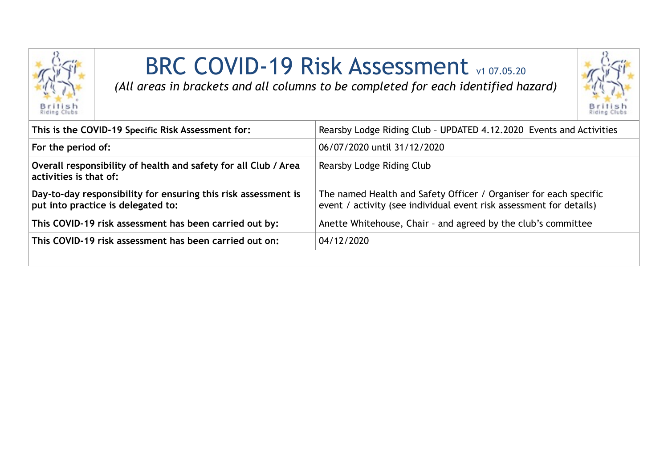

## BRC COVID-19 Risk Assessment v1 07.05.20

*(All areas in brackets and all columns to be completed for each identified hazard)*



| This is the COVID-19 Specific Risk Assessment for:                                                   | Rearsby Lodge Riding Club - UPDATED 4.12.2020 Events and Activities                                                                      |
|------------------------------------------------------------------------------------------------------|------------------------------------------------------------------------------------------------------------------------------------------|
| For the period of:                                                                                   | 06/07/2020 until 31/12/2020                                                                                                              |
| Overall responsibility of health and safety for all Club / Area<br>activities is that of:            | Rearsby Lodge Riding Club                                                                                                                |
| Day-to-day responsibility for ensuring this risk assessment is<br>put into practice is delegated to: | The named Health and Safety Officer / Organiser for each specific<br>event / activity (see individual event risk assessment for details) |
| This COVID-19 risk assessment has been carried out by:                                               | Anette Whitehouse, Chair - and agreed by the club's committee                                                                            |
| This COVID-19 risk assessment has been carried out on:                                               | 04/12/2020                                                                                                                               |
|                                                                                                      |                                                                                                                                          |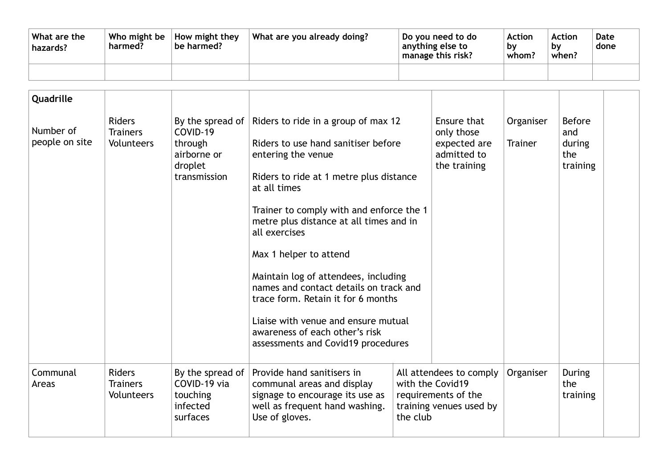| What are the<br>hazards? | harmed? | Who might be $\vert$ How might they<br>be harmed? | What are you already doing? | Do you need to do<br>anything else to<br>manage this risk? | <b>Action</b><br>bv<br>whom? | <b>Action</b><br>bv<br>when? | Date<br>done |
|--------------------------|---------|---------------------------------------------------|-----------------------------|------------------------------------------------------------|------------------------------|------------------------------|--------------|
|                          |         |                                                   |                             |                                                            |                              |                              |              |

| Quadrille                   |                                                       |                                                                          |                                                                                                                                                                                                                                                                                                                                                                                                                                                                                                                                                       |                                                                                                           |                             |                                                   |  |
|-----------------------------|-------------------------------------------------------|--------------------------------------------------------------------------|-------------------------------------------------------------------------------------------------------------------------------------------------------------------------------------------------------------------------------------------------------------------------------------------------------------------------------------------------------------------------------------------------------------------------------------------------------------------------------------------------------------------------------------------------------|-----------------------------------------------------------------------------------------------------------|-----------------------------|---------------------------------------------------|--|
| Number of<br>people on site | <b>Riders</b><br><b>Trainers</b><br><b>Volunteers</b> | COVID-19<br>through<br>airborne or<br>droplet<br>transmission            | By the spread of Riders to ride in a group of max 12<br>Riders to use hand sanitiser before<br>entering the venue<br>Riders to ride at 1 metre plus distance<br>at all times<br>Trainer to comply with and enforce the 1<br>metre plus distance at all times and in<br>all exercises<br>Max 1 helper to attend<br>Maintain log of attendees, including<br>names and contact details on track and<br>trace form. Retain it for 6 months<br>Liaise with venue and ensure mutual<br>awareness of each other's risk<br>assessments and Covid19 procedures | Ensure that<br>only those<br>expected are<br>admitted to<br>the training                                  | Organiser<br><b>Trainer</b> | <b>Before</b><br>and<br>during<br>the<br>training |  |
| Communal<br>Areas           | <b>Riders</b><br><b>Trainers</b><br><b>Volunteers</b> | By the spread of $ $<br>COVID-19 via<br>touching<br>infected<br>surfaces | Provide hand sanitisers in<br>communal areas and display<br>signage to encourage its use as<br>well as frequent hand washing.<br>Use of gloves.                                                                                                                                                                                                                                                                                                                                                                                                       | All attendees to comply<br>with the Covid19<br>requirements of the<br>training venues used by<br>the club | Organiser                   | <b>During</b><br>the<br>training                  |  |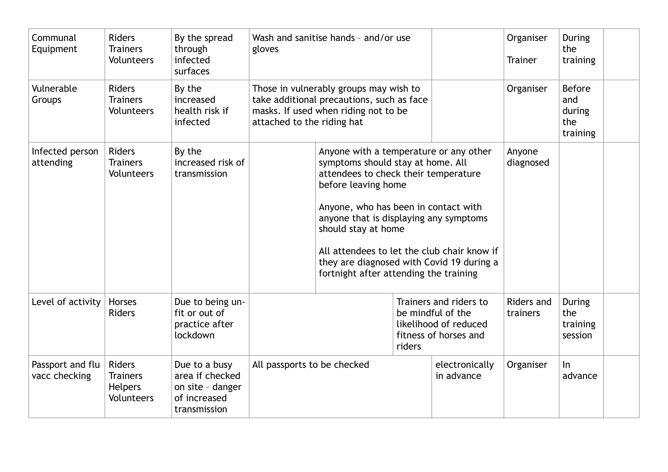| Communal<br>Equipment             | <b>Riders</b><br><b>Trainers</b><br><b>Volunteers</b>     | By the spread<br>through<br>infected<br>surfaces                                     | gloves                                                                                                                                                    | Wash and sanitise hands - and/or use                                                                                                                                                                                                                                                                                                                                                      |                              |                                                                                               | Organiser<br><b>Trainer</b> | <b>During</b><br>the<br>training     |  |
|-----------------------------------|-----------------------------------------------------------|--------------------------------------------------------------------------------------|-----------------------------------------------------------------------------------------------------------------------------------------------------------|-------------------------------------------------------------------------------------------------------------------------------------------------------------------------------------------------------------------------------------------------------------------------------------------------------------------------------------------------------------------------------------------|------------------------------|-----------------------------------------------------------------------------------------------|-----------------------------|--------------------------------------|--|
| Vulnerable<br>Groups              | <b>Riders</b><br><b>Trainers</b><br><b>Volunteers</b>     | By the<br>increased<br>health risk if<br>infected                                    | Those in vulnerably groups may wish to<br>take additional precautions, such as face<br>masks. If used when riding not to be<br>attached to the riding hat |                                                                                                                                                                                                                                                                                                                                                                                           | Organiser                    | <b>Before</b><br>and<br>during<br>the<br>training                                             |                             |                                      |  |
| Infected person<br>attending      | <b>Riders</b><br><b>Trainers</b><br><b>Volunteers</b>     | By the<br>increased risk of<br>transmission                                          |                                                                                                                                                           | Anyone with a temperature or any other<br>symptoms should stay at home. All<br>attendees to check their temperature<br>before leaving home<br>Anyone, who has been in contact with<br>anyone that is displaying any symptoms<br>should stay at home<br>All attendees to let the club chair know if<br>they are diagnosed with Covid 19 during a<br>fortnight after attending the training |                              |                                                                                               | Anyone<br>diagnosed         |                                      |  |
| Level of activity                 | <b>Horses</b><br><b>Riders</b>                            | Due to being un-<br>fit or out of<br>practice after<br>lockdown                      |                                                                                                                                                           |                                                                                                                                                                                                                                                                                                                                                                                           | riders                       | Trainers and riders to<br>be mindful of the<br>likelihood of reduced<br>fitness of horses and | Riders and<br>trainers      | During<br>the<br>training<br>session |  |
| Passport and flu<br>vacc checking | <b>Riders</b><br><b>Trainers</b><br>Helpers<br>Volunteers | Due to a busy<br>area if checked<br>on site - danger<br>of increased<br>transmission | All passports to be checked                                                                                                                               |                                                                                                                                                                                                                                                                                                                                                                                           | electronically<br>in advance | Organiser                                                                                     | $\ln$<br>advance            |                                      |  |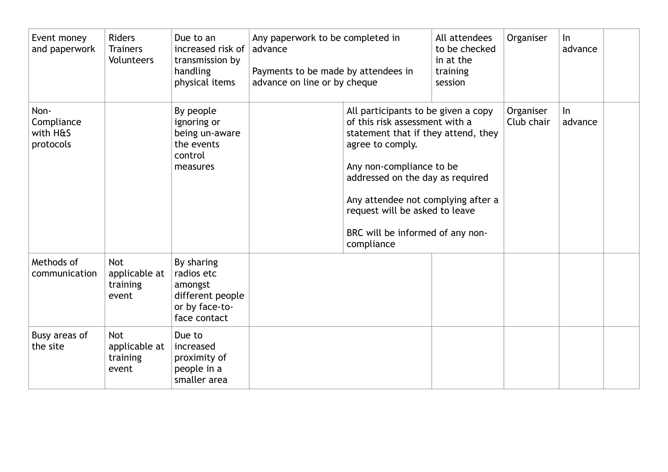| Event money<br>and paperwork                | <b>Riders</b><br><b>Trainers</b><br>Volunteers   | Due to an<br>increased risk of<br>transmission by<br>handling<br>physical items           | Any paperwork to be completed in<br>advance<br>Payments to be made by attendees in<br>advance on line or by cheque |                                                                                                                                                                                                                                                                                                                            | All attendees<br>to be checked<br>in at the<br>training<br>session | Organiser               | $\ln$<br>advance |  |
|---------------------------------------------|--------------------------------------------------|-------------------------------------------------------------------------------------------|--------------------------------------------------------------------------------------------------------------------|----------------------------------------------------------------------------------------------------------------------------------------------------------------------------------------------------------------------------------------------------------------------------------------------------------------------------|--------------------------------------------------------------------|-------------------------|------------------|--|
| Non-<br>Compliance<br>with H&S<br>protocols |                                                  | By people<br>ignoring or<br>being un-aware<br>the events<br>control<br>measures           |                                                                                                                    | All participants to be given a copy<br>of this risk assessment with a<br>statement that if they attend, they<br>agree to comply.<br>Any non-compliance to be<br>addressed on the day as required<br>Any attendee not complying after a<br>request will be asked to leave<br>BRC will be informed of any non-<br>compliance |                                                                    | Organiser<br>Club chair | $\ln$<br>advance |  |
| Methods of<br>communication                 | <b>Not</b><br>applicable at<br>training<br>event | By sharing<br>radios etc<br>amongst<br>different people<br>or by face-to-<br>face contact |                                                                                                                    |                                                                                                                                                                                                                                                                                                                            |                                                                    |                         |                  |  |
| Busy areas of<br>the site                   | <b>Not</b><br>applicable at<br>training<br>event | Due to<br>increased<br>proximity of<br>people in a<br>smaller area                        |                                                                                                                    |                                                                                                                                                                                                                                                                                                                            |                                                                    |                         |                  |  |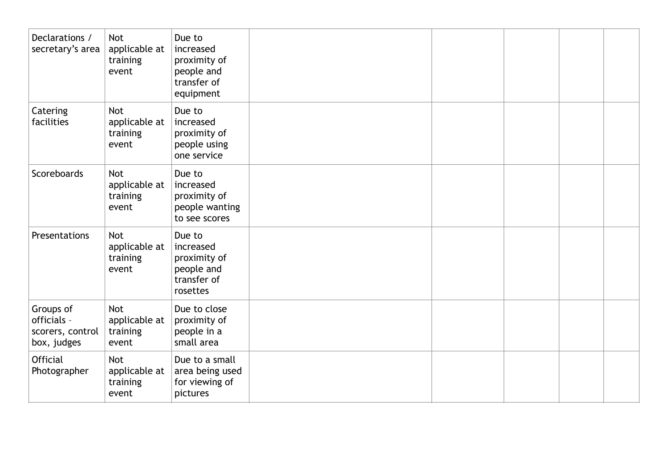| Declarations /<br>secretary's area                          | <b>Not</b><br>applicable at<br>training<br>event | Due to<br>increased<br>proximity of<br>people and<br>transfer of<br>equipment |  |  |  |
|-------------------------------------------------------------|--------------------------------------------------|-------------------------------------------------------------------------------|--|--|--|
| Catering<br>facilities                                      | <b>Not</b><br>applicable at<br>training<br>event | Due to<br>increased<br>proximity of<br>people using<br>one service            |  |  |  |
| Scoreboards                                                 | <b>Not</b><br>applicable at<br>training<br>event | Due to<br>increased<br>proximity of<br>people wanting<br>to see scores        |  |  |  |
| Presentations                                               | Not<br>applicable at<br>training<br>event        | Due to<br>increased<br>proximity of<br>people and<br>transfer of<br>rosettes  |  |  |  |
| Groups of<br>officials -<br>scorers, control<br>box, judges | <b>Not</b><br>applicable at<br>training<br>event | Due to close<br>proximity of<br>people in a<br>small area                     |  |  |  |
| <b>Official</b><br>Photographer                             | <b>Not</b><br>applicable at<br>training<br>event | Due to a small<br>area being used<br>for viewing of<br>pictures               |  |  |  |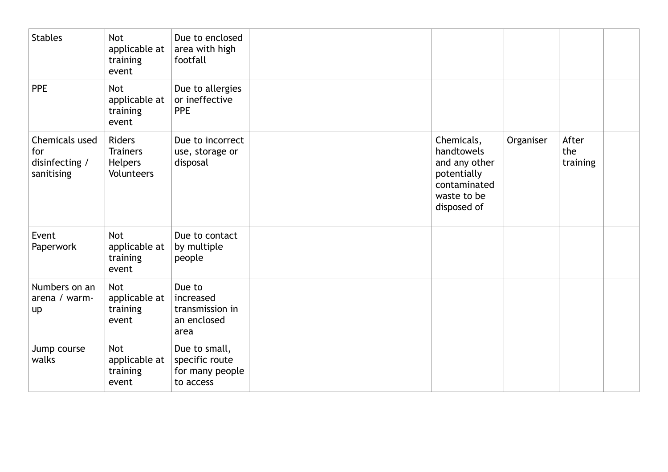| <b>Stables</b>                                        | <b>Not</b><br>applicable at<br>training<br>event                        | Due to enclosed<br>area with high<br>footfall                   |                                                                                                        |           |                          |  |
|-------------------------------------------------------|-------------------------------------------------------------------------|-----------------------------------------------------------------|--------------------------------------------------------------------------------------------------------|-----------|--------------------------|--|
| <b>PPE</b>                                            | <b>Not</b><br>applicable at<br>training<br>event                        | Due to allergies<br>or ineffective<br><b>PPE</b>                |                                                                                                        |           |                          |  |
| Chemicals used<br>for<br>disinfecting /<br>sanitising | <b>Riders</b><br><b>Trainers</b><br><b>Helpers</b><br><b>Volunteers</b> | Due to incorrect<br>use, storage or<br>disposal                 | Chemicals,<br>handtowels<br>and any other<br>potentially<br>contaminated<br>waste to be<br>disposed of | Organiser | After<br>the<br>training |  |
| Event<br>Paperwork                                    | <b>Not</b><br>applicable at<br>training<br>event                        | Due to contact<br>by multiple<br>people                         |                                                                                                        |           |                          |  |
| Numbers on an<br>arena / warm-<br>up                  | <b>Not</b><br>applicable at<br>training<br>event                        | Due to<br>increased<br>transmission in<br>an enclosed<br>area   |                                                                                                        |           |                          |  |
| Jump course<br>walks                                  | <b>Not</b><br>applicable at<br>training<br>event                        | Due to small,<br>specific route<br>for many people<br>to access |                                                                                                        |           |                          |  |